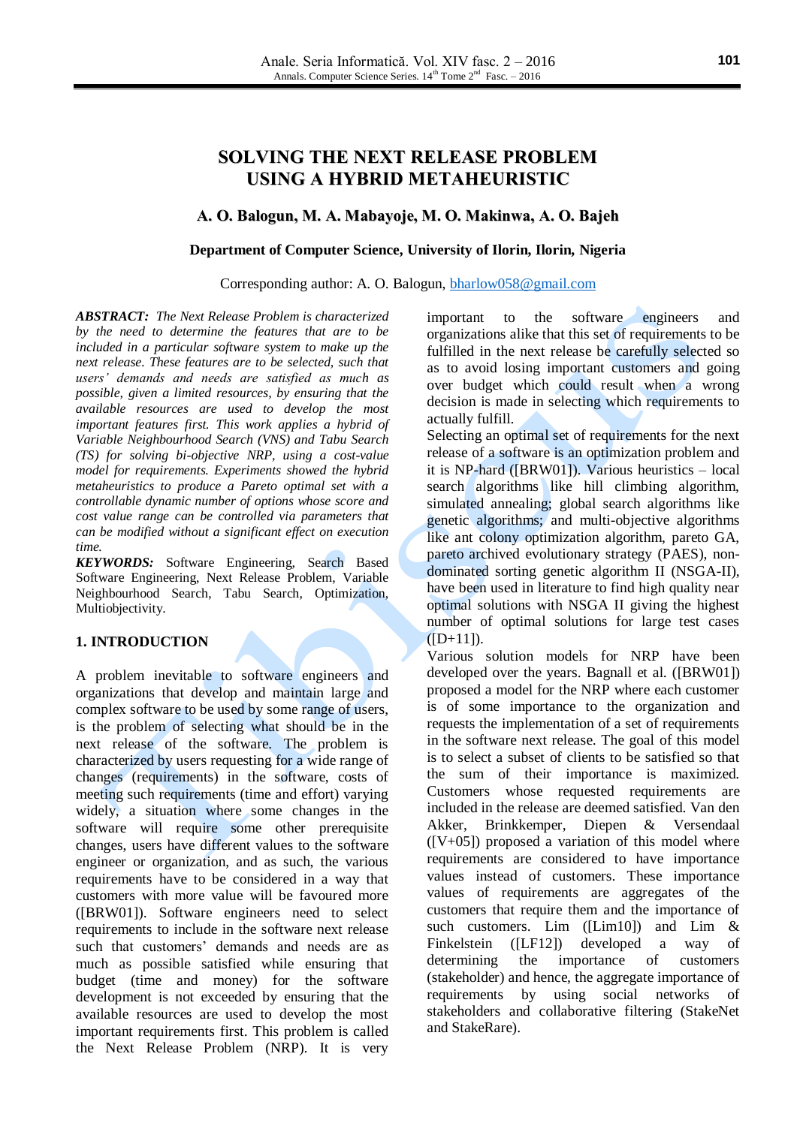# **SOLVING THE NEXT RELEASE PROBLEM USING A HYBRID METAHEURISTIC**

# **A. O. Balogun, M. A. Mabayoje, M. O. Makinwa, A. O. Bajeh**

### **Department of Computer Science, University of Ilorin, Ilorin, Nigeria**

#### Corresponding author: A. O. Balogun, **bharlow058@gmail.com**

*ABSTRACT: The Next Release Problem is characterized by the need to determine the features that are to be included in a particular software system to make up the next release. These features are to be selected, such that users' demands and needs are satisfied as much as possible, given a limited resources, by ensuring that the available resources are used to develop the most important features first. This work applies a hybrid of Variable Neighbourhood Search (VNS) and Tabu Search (TS) for solving bi-objective NRP, using a cost-value model for requirements. Experiments showed the hybrid metaheuristics to produce a Pareto optimal set with a controllable dynamic number of options whose score and cost value range can be controlled via parameters that can be modified without a significant effect on execution time.*

*KEYWORDS:* Software Engineering, Search Based Software Engineering, Next Release Problem, Variable Neighbourhood Search, Tabu Search, Optimization, Multiobjectivity.

### **1. INTRODUCTION**

A problem inevitable to software engineers and organizations that develop and maintain large and complex software to be used by some range of users, is the problem of selecting what should be in the next release of the software. The problem is characterized by users requesting for a wide range of changes (requirements) in the software, costs of meeting such requirements (time and effort) varying widely, a situation where some changes in the software will require some other prerequisite changes, users have different values to the software engineer or organization, and as such, the various requirements have to be considered in a way that customers with more value will be favoured more ([BRW01]). Software engineers need to select requirements to include in the software next release such that customers' demands and needs are as much as possible satisfied while ensuring that budget (time and money) for the software development is not exceeded by ensuring that the available resources are used to develop the most important requirements first. This problem is called the Next Release Problem (NRP). It is very

important to the software engineers and organizations alike that this set of requirements to be fulfilled in the next release be carefully selected so as to avoid losing important customers and going over budget which could result when a wrong decision is made in selecting which requirements to actually fulfill.

Selecting an optimal set of requirements for the next release of a software is an optimization problem and it is NP-hard ([BRW01]). Various heuristics – local search algorithms like hill climbing algorithm, simulated annealing; global search algorithms like genetic algorithms; and multi-objective algorithms like ant colony optimization algorithm, pareto GA, pareto archived evolutionary strategy (PAES), nondominated sorting genetic algorithm II (NSGA-II), have been used in literature to find high quality near optimal solutions with NSGA II giving the highest number of optimal solutions for large test cases  $(ID+11)$ .

Various solution models for NRP have been developed over the years. Bagnall et al. ([BRW01]) proposed a model for the NRP where each customer is of some importance to the organization and requests the implementation of a set of requirements in the software next release. The goal of this model is to select a subset of clients to be satisfied so that the sum of their importance is maximized. Customers whose requested requirements are included in the release are deemed satisfied. Van den Akker, Brinkkemper, Diepen & Versendaal  $([V+05])$  proposed a variation of this model where requirements are considered to have importance values instead of customers. These importance values of requirements are aggregates of the customers that require them and the importance of such customers. Lim ([Lim10]) and Lim & Finkelstein ([LF12]) developed a way of determining the importance of customers (stakeholder) and hence, the aggregate importance of requirements by using social networks of stakeholders and collaborative filtering (StakeNet and StakeRare).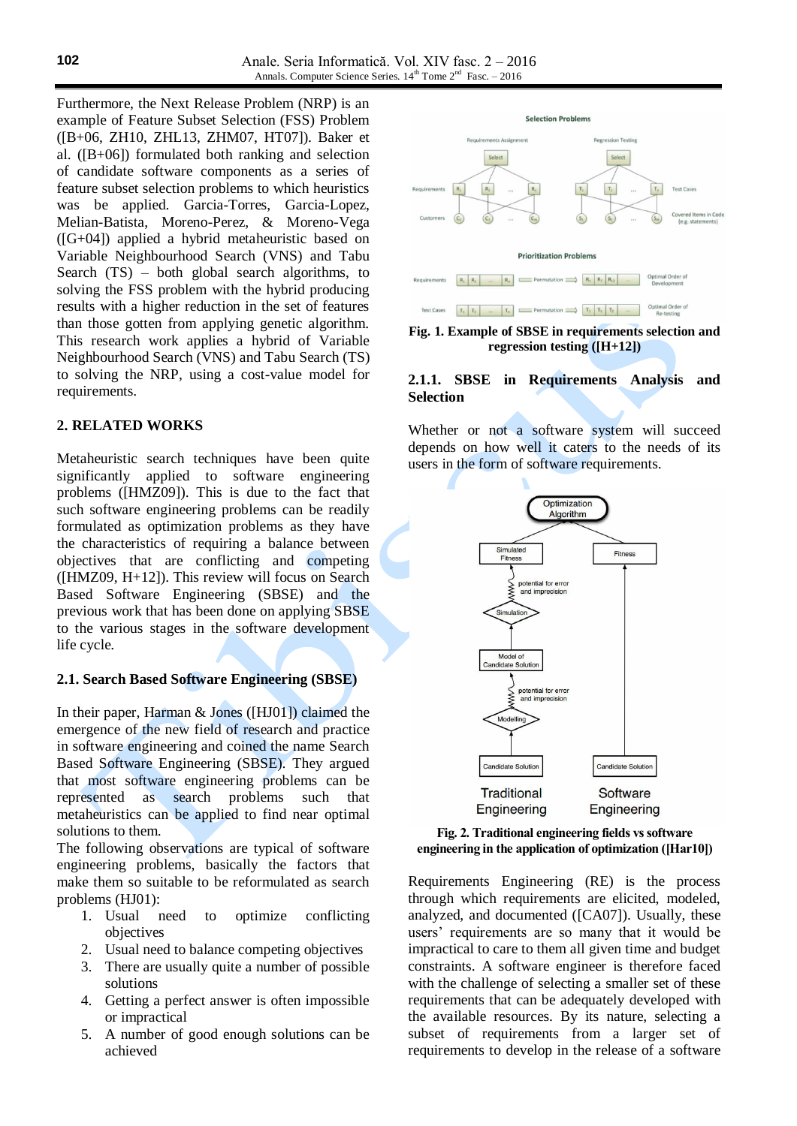Furthermore, the Next Release Problem (NRP) is an example of Feature Subset Selection (FSS) Problem ([B+06, ZH10, ZHL13, ZHM07, HT07]). Baker et al.  $([B+06])$  formulated both ranking and selection of candidate software components as a series of feature subset selection problems to which heuristics was be applied. Garcia-Torres, Garcia-Lopez, Melian-Batista, Moreno-Perez, & Moreno-Vega ([G+04]) applied a hybrid metaheuristic based on Variable Neighbourhood Search (VNS) and Tabu Search (TS) – both global search algorithms, to solving the FSS problem with the hybrid producing results with a higher reduction in the set of features than those gotten from applying genetic algorithm. This research work applies a hybrid of Variable Neighbourhood Search (VNS) and Tabu Search (TS) to solving the NRP, using a cost-value model for requirements.

# **2. RELATED WORKS**

Metaheuristic search techniques have been quite significantly applied to software engineering problems ([HMZ09]). This is due to the fact that such software engineering problems can be readily formulated as optimization problems as they have the characteristics of requiring a balance between objectives that are conflicting and competing ([HMZ09, H+12]). This review will focus on Search Based Software Engineering (SBSE) and the previous work that has been done on applying SBSE to the various stages in the software development life cycle.

### **2.1. Search Based Software Engineering (SBSE)**

In their paper, Harman & Jones ([HJ01]) claimed the emergence of the new field of research and practice in software engineering and coined the name Search Based Software Engineering (SBSE). They argued that most software engineering problems can be represented as search problems such that metaheuristics can be applied to find near optimal solutions to them.

The following observations are typical of software engineering problems, basically the factors that make them so suitable to be reformulated as search problems (HJ01):

- 1. Usual need to optimize conflicting objectives
- 2. Usual need to balance competing objectives
- 3. There are usually quite a number of possible solutions
- 4. Getting a perfect answer is often impossible or impractical
- 5. A number of good enough solutions can be achieved



**Fig. 1. Example of SBSE in requirements selection and regression testing ([H+12])**

## **2.1.1. SBSE in Requirements Analysis and Selection**

Whether or not a software system will succeed depends on how well it caters to the needs of its users in the form of software requirements.





Requirements Engineering (RE) is the process through which requirements are elicited, modeled, analyzed, and documented ([CA07]). Usually, these users' requirements are so many that it would be impractical to care to them all given time and budget constraints. A software engineer is therefore faced with the challenge of selecting a smaller set of these requirements that can be adequately developed with the available resources. By its nature, selecting a subset of requirements from a larger set of requirements to develop in the release of a software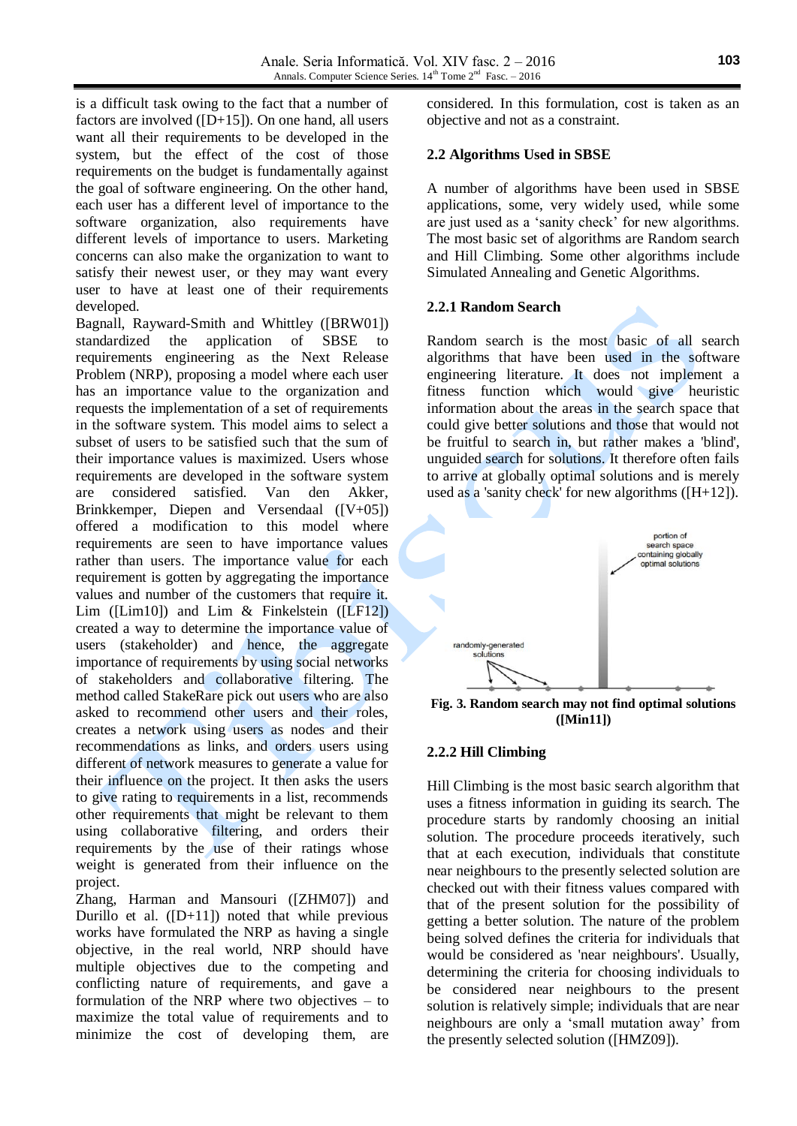is a difficult task owing to the fact that a number of factors are involved  $([D+15])$ . On one hand, all users want all their requirements to be developed in the system, but the effect of the cost of those requirements on the budget is fundamentally against the goal of software engineering. On the other hand, each user has a different level of importance to the software organization, also requirements have different levels of importance to users. Marketing concerns can also make the organization to want to satisfy their newest user, or they may want every user to have at least one of their requirements developed.

Bagnall, Rayward-Smith and Whittley ([BRW01]) standardized the application of SBSE to requirements engineering as the Next Release Problem (NRP), proposing a model where each user has an importance value to the organization and requests the implementation of a set of requirements in the software system. This model aims to select a subset of users to be satisfied such that the sum of their importance values is maximized. Users whose requirements are developed in the software system are considered satisfied. Van den Akker, Brinkkemper, Diepen and Versendaal ([V+05]) offered a modification to this model where requirements are seen to have importance values rather than users. The importance value for each requirement is gotten by aggregating the importance values and number of the customers that require it. Lim ([Lim10]) and Lim & Finkelstein ([LF12]) created a way to determine the importance value of users (stakeholder) and hence, the aggregate importance of requirements by using social networks of stakeholders and collaborative filtering. The method called StakeRare pick out users who are also asked to recommend other users and their roles, creates a network using users as nodes and their recommendations as links, and orders users using different of network measures to generate a value for their influence on the project. It then asks the users to give rating to requirements in a list, recommends other requirements that might be relevant to them using collaborative filtering, and orders their requirements by the use of their ratings whose weight is generated from their influence on the project.

Zhang, Harman and Mansouri ([ZHM07]) and Durillo et al.  $([D+11])$  noted that while previous works have formulated the NRP as having a single objective, in the real world, NRP should have multiple objectives due to the competing and conflicting nature of requirements, and gave a formulation of the NRP where two objectives – to maximize the total value of requirements and to minimize the cost of developing them, are

considered. In this formulation, cost is taken as an objective and not as a constraint.

# **2.2 Algorithms Used in SBSE**

A number of algorithms have been used in SBSE applications, some, very widely used, while some are just used as a 'sanity check' for new algorithms. The most basic set of algorithms are Random search and Hill Climbing. Some other algorithms include Simulated Annealing and Genetic Algorithms.

### **2.2.1 Random Search**

Random search is the most basic of all search algorithms that have been used in the software engineering literature. It does not implement a fitness function which would give heuristic information about the areas in the search space that could give better solutions and those that would not be fruitful to search in, but rather makes a 'blind', unguided search for solutions. It therefore often fails to arrive at globally optimal solutions and is merely used as a 'sanity check' for new algorithms  $([H+12])$ .



**Fig. 3. Random search may not find optimal solutions ([Min11])**

### **2.2.2 Hill Climbing**

Hill Climbing is the most basic search algorithm that uses a fitness information in guiding its search. The procedure starts by randomly choosing an initial solution. The procedure proceeds iteratively, such that at each execution, individuals that constitute near neighbours to the presently selected solution are checked out with their fitness values compared with that of the present solution for the possibility of getting a better solution. The nature of the problem being solved defines the criteria for individuals that would be considered as 'near neighbours'. Usually, determining the criteria for choosing individuals to be considered near neighbours to the present solution is relatively simple; individuals that are near neighbours are only a 'small mutation away' from the presently selected solution ([HMZ09]).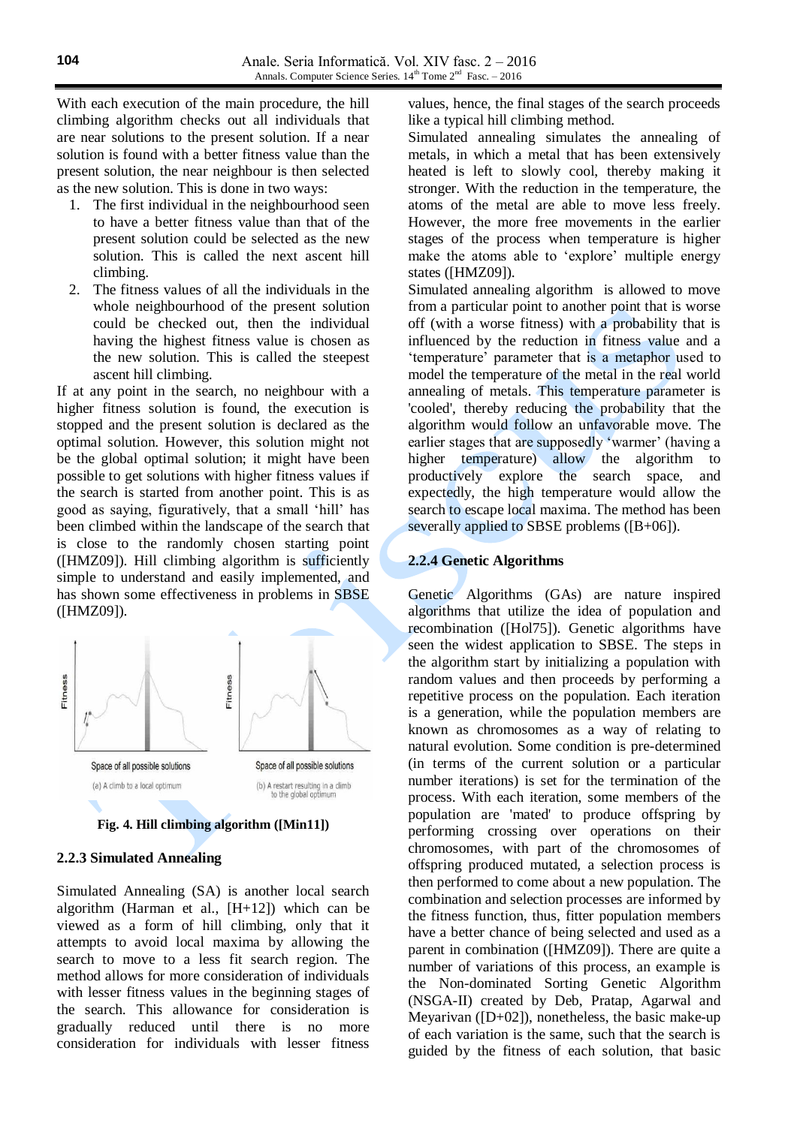With each execution of the main procedure, the hill climbing algorithm checks out all individuals that are near solutions to the present solution. If a near solution is found with a better fitness value than the present solution, the near neighbour is then selected as the new solution. This is done in two ways:

- 1. The first individual in the neighbourhood seen to have a better fitness value than that of the present solution could be selected as the new solution. This is called the next ascent hill climbing.
- 2. The fitness values of all the individuals in the whole neighbourhood of the present solution could be checked out, then the individual having the highest fitness value is chosen as the new solution. This is called the steepest ascent hill climbing.

If at any point in the search, no neighbour with a higher fitness solution is found, the execution is stopped and the present solution is declared as the optimal solution. However, this solution might not be the global optimal solution; it might have been possible to get solutions with higher fitness values if the search is started from another point. This is as good as saying, figuratively, that a small 'hill' has been climbed within the landscape of the search that is close to the randomly chosen starting point ([HMZ09]). Hill climbing algorithm is sufficiently simple to understand and easily implemented, and has shown some effectiveness in problems in SBSE ([HMZ09]).



**Fig. 4. Hill climbing algorithm ([Min11])**

# **2.2.3 Simulated Annealing**

Simulated Annealing (SA) is another local search algorithm (Harman et al., [H+12]) which can be viewed as a form of hill climbing, only that it attempts to avoid local maxima by allowing the search to move to a less fit search region. The method allows for more consideration of individuals with lesser fitness values in the beginning stages of the search. This allowance for consideration is gradually reduced until there is no more consideration for individuals with lesser fitness

values, hence, the final stages of the search proceeds like a typical hill climbing method.

Simulated annealing simulates the annealing of metals, in which a metal that has been extensively heated is left to slowly cool, thereby making it stronger. With the reduction in the temperature, the atoms of the metal are able to move less freely. However, the more free movements in the earlier stages of the process when temperature is higher make the atoms able to 'explore' multiple energy states ([HMZ09]).

Simulated annealing algorithm is allowed to move from a particular point to another point that is worse off (with a worse fitness) with a probability that is influenced by the reduction in fitness value and a 'temperature' parameter that is a metaphor used to model the temperature of the metal in the real world annealing of metals. This temperature parameter is 'cooled', thereby reducing the probability that the algorithm would follow an unfavorable move. The earlier stages that are supposedly 'warmer' (having a higher temperature) allow the algorithm to productively explore the search space, and expectedly, the high temperature would allow the search to escape local maxima. The method has been severally applied to SBSE problems ([B+06]).

# **2.2.4 Genetic Algorithms**

Genetic Algorithms (GAs) are nature inspired algorithms that utilize the idea of population and recombination ([Hol75]). Genetic algorithms have seen the widest application to SBSE. The steps in the algorithm start by initializing a population with random values and then proceeds by performing a repetitive process on the population. Each iteration is a generation, while the population members are known as chromosomes as a way of relating to natural evolution. Some condition is pre-determined (in terms of the current solution or a particular number iterations) is set for the termination of the process. With each iteration, some members of the population are 'mated' to produce offspring by performing crossing over operations on their chromosomes, with part of the chromosomes of offspring produced mutated, a selection process is then performed to come about a new population. The combination and selection processes are informed by the fitness function, thus, fitter population members have a better chance of being selected and used as a parent in combination ([HMZ09]). There are quite a number of variations of this process, an example is the Non-dominated Sorting Genetic Algorithm (NSGA-II) created by Deb, Pratap, Agarwal and Meyarivan ([D+02]), nonetheless, the basic make-up of each variation is the same, such that the search is guided by the fitness of each solution, that basic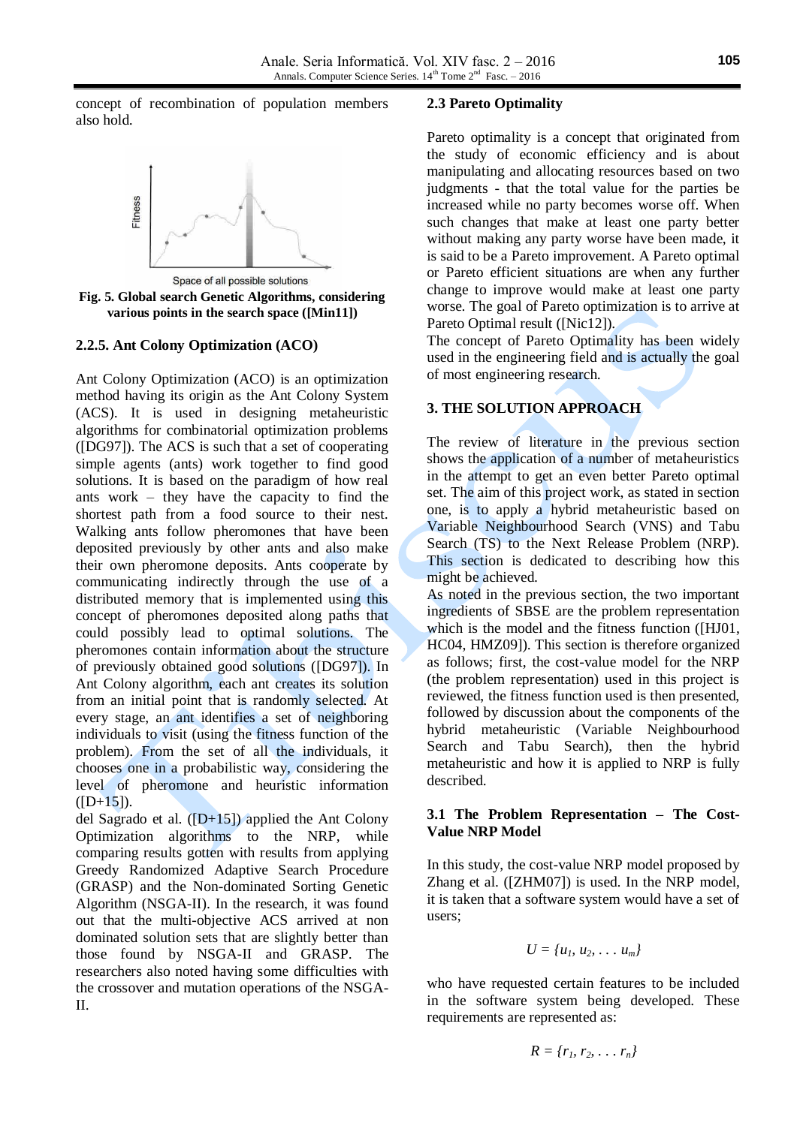concept of recombination of population members also hold.



**Fig. 5. Global search Genetic Algorithms, considering various points in the search space ([Min11])**

### **2.2.5. Ant Colony Optimization (ACO)**

Ant Colony Optimization (ACO) is an optimization method having its origin as the Ant Colony System (ACS). It is used in designing metaheuristic algorithms for combinatorial optimization problems ([DG97]). The ACS is such that a set of cooperating simple agents (ants) work together to find good solutions. It is based on the paradigm of how real ants work – they have the capacity to find the shortest path from a food source to their nest. Walking ants follow pheromones that have been deposited previously by other ants and also make their own pheromone deposits. Ants cooperate by communicating indirectly through the use of a distributed memory that is implemented using this concept of pheromones deposited along paths that could possibly lead to optimal solutions. The pheromones contain information about the structure of previously obtained good solutions ([DG97]). In Ant Colony algorithm, each ant creates its solution from an initial point that is randomly selected. At every stage, an ant identifies a set of neighboring individuals to visit (using the fitness function of the problem). From the set of all the individuals, it chooses one in a probabilistic way, considering the level of pheromone and heuristic information  $([D+15]).$ 

del Sagrado et al.  $([D+15])$  applied the Ant Colony Optimization algorithms to the NRP, while comparing results gotten with results from applying Greedy Randomized Adaptive Search Procedure (GRASP) and the Non-dominated Sorting Genetic Algorithm (NSGA-II). In the research, it was found out that the multi-objective ACS arrived at non dominated solution sets that are slightly better than those found by NSGA-II and GRASP. The researchers also noted having some difficulties with the crossover and mutation operations of the NSGA-II.

#### **2.3 Pareto Optimality**

Pareto optimality is a concept that originated from the study of economic efficiency and is about manipulating and allocating resources based on two judgments - that the total value for the parties be increased while no party becomes worse off. When such changes that make at least one party better without making any party worse have been made, it is said to be a Pareto improvement. A Pareto optimal or Pareto efficient situations are when any further change to improve would make at least one party worse. The goal of Pareto optimization is to arrive at Pareto Optimal result ([Nic12]).

The concept of Pareto Optimality has been widely used in the engineering field and is actually the goal of most engineering research.

### **3. THE SOLUTION APPROACH**

The review of literature in the previous section shows the application of a number of metaheuristics in the attempt to get an even better Pareto optimal set. The aim of this project work, as stated in section one, is to apply a hybrid metaheuristic based on Variable Neighbourhood Search (VNS) and Tabu Search (TS) to the Next Release Problem (NRP). This section is dedicated to describing how this might be achieved.

As noted in the previous section, the two important ingredients of SBSE are the problem representation which is the model and the fitness function ([HJ01, HC04, HMZ09]). This section is therefore organized as follows; first, the cost-value model for the NRP (the problem representation) used in this project is reviewed, the fitness function used is then presented, followed by discussion about the components of the hybrid metaheuristic (Variable Neighbourhood Search and Tabu Search), then the hybrid metaheuristic and how it is applied to NRP is fully described.

### **3.1 The Problem Representation – The Cost-Value NRP Model**

In this study, the cost-value NRP model proposed by Zhang et al. ([ZHM07]) is used. In the NRP model, it is taken that a software system would have a set of users;

$$
U = \{u_1, u_2, \ldots u_m\}
$$

who have requested certain features to be included in the software system being developed. These requirements are represented as:

$$
R = \{r_1, r_2, \ldots r_n\}
$$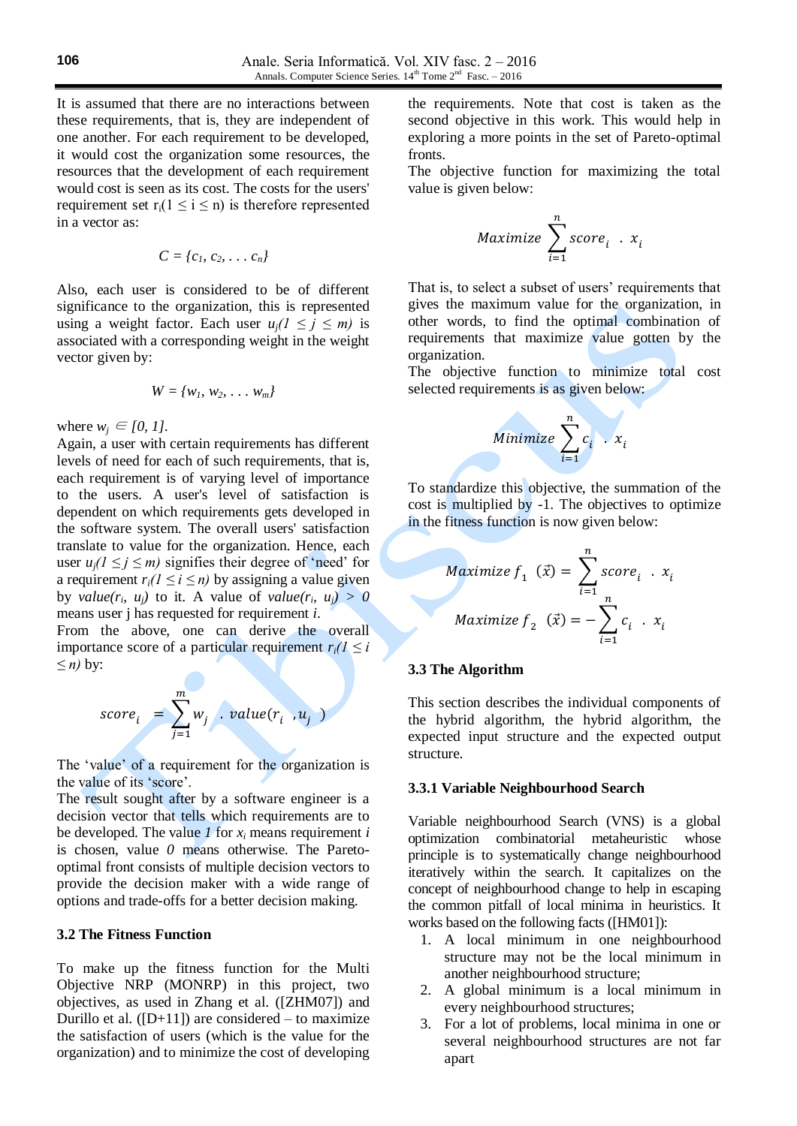It is assumed that there are no interactions between these requirements, that is, they are independent of one another. For each requirement to be developed, it would cost the organization some resources, the resources that the development of each requirement would cost is seen as its cost. The costs for the users' requirement set  $r_i(1 \le i \le n)$  is therefore represented in a vector as:

$$
C = \{c_1, c_2, \ldots c_n\}
$$

Also, each user is considered to be of different significance to the organization, this is represented using a weight factor. Each user  $u_j$   $(1 \le j \le m)$  is associated with a corresponding weight in the weight vector given by:

$$
W = \{w_1, w_2, \ldots w_m\}
$$

where  $w_i \in [0, 1]$ .

Again, a user with certain requirements has different levels of need for each of such requirements, that is, each requirement is of varying level of importance to the users. A user's level of satisfaction is dependent on which requirements gets developed in the software system. The overall users' satisfaction translate to value for the organization. Hence, each user  $u_i$ ( $1 \le i \le m$ ) signifies their degree of 'need' for a requirement  $r_i$  ( $1 \le i \le n$ ) by assigning a value given by *value*( $r_i$ ,  $u_j$ ) to it. A value of *value*( $r_i$ ,  $u_j$ ) > 0 means user j has requested for requirement *i*.

From the above, one can derive the overall importance score of a particular requirement  $r_i/l \leq i$ *≤ n)* by:

$$
score_i = \sum_{j=1}^{m} w_j \cdot value(r_i, u_j)
$$

The 'value' of a requirement for the organization is the value of its 'score'.

The result sought after by a software engineer is a decision vector that tells which requirements are to be developed. The value  $I$  for  $x_i$  means requirement  $i$ is chosen, value *0* means otherwise. The Paretooptimal front consists of multiple decision vectors to provide the decision maker with a wide range of options and trade-offs for a better decision making.

### **3.2 The Fitness Function**

To make up the fitness function for the Multi Objective NRP (MONRP) in this project, two objectives, as used in Zhang et al. ([ZHM07]) and Durillo et al.  $([D+11])$  are considered – to maximize the satisfaction of users (which is the value for the organization) and to minimize the cost of developing

the requirements. Note that cost is taken as the second objective in this work. This would help in exploring a more points in the set of Pareto-optimal fronts.

The objective function for maximizing the total value is given below:

$$
Maximize \sum_{i=1}^{n} score_i . x_i
$$

That is, to select a subset of users' requirements that gives the maximum value for the organization, in other words, to find the optimal combination of requirements that maximize value gotten by the organization.

The objective function to minimize total cost selected requirements is as given below:

$$
Minimize \sum_{i=1}^{n} c_i \cdot x_i
$$

To standardize this objective, the summation of the cost is multiplied by -1. The objectives to optimize in the fitness function is now given below:

$$
Maximize f_1 (\vec{x}) = \sum_{i=1}^{n} score_i . x_i
$$
  

$$
Maximize f_2 (\vec{x}) = -\sum_{i=1}^{n} c_i . x_i
$$

### **3.3 The Algorithm**

This section describes the individual components of the hybrid algorithm, the hybrid algorithm, the expected input structure and the expected output structure.

#### **3.3.1 Variable Neighbourhood Search**

Variable neighbourhood Search (VNS) is a global optimization combinatorial metaheuristic whose principle is to systematically change neighbourhood iteratively within the search. It capitalizes on the concept of neighbourhood change to help in escaping the common pitfall of local minima in heuristics. It works based on the following facts ([HM01]):

- 1. A local minimum in one neighbourhood structure may not be the local minimum in another neighbourhood structure;
- 2. A global minimum is a local minimum in every neighbourhood structures;
- 3. For a lot of problems, local minima in one or several neighbourhood structures are not far apart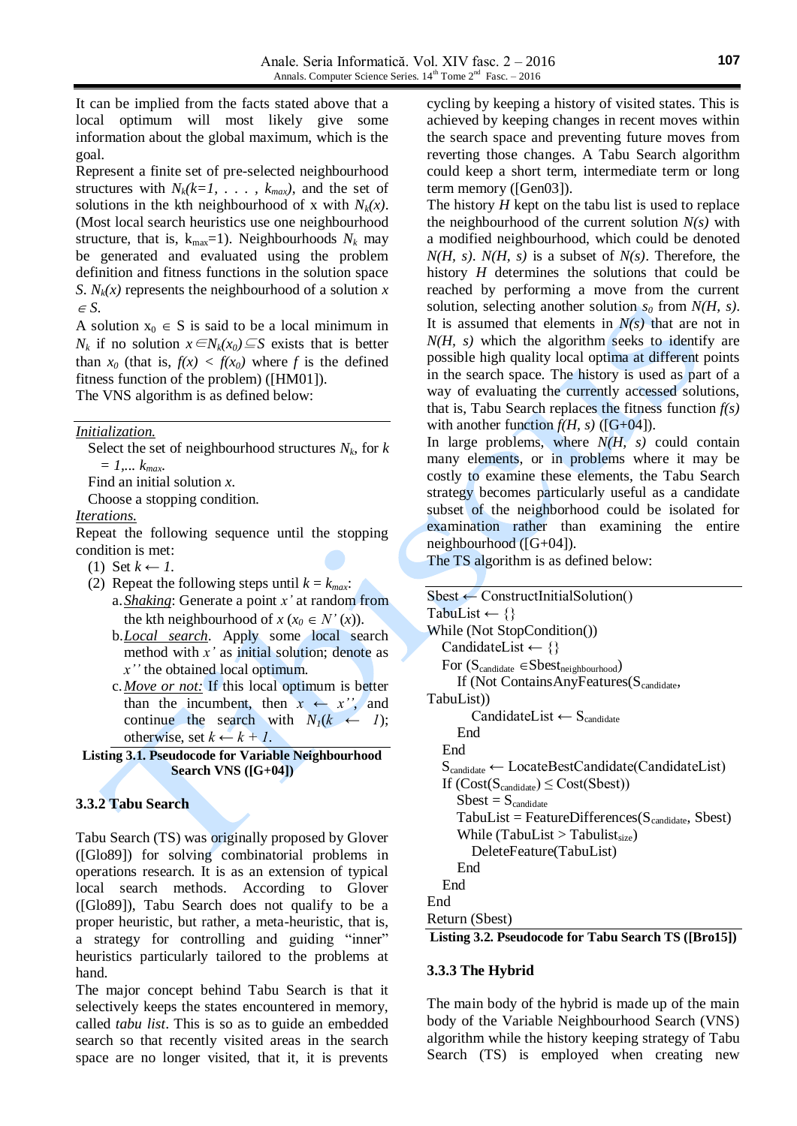It can be implied from the facts stated above that a local optimum will most likely give some information about the global maximum, which is the goal.

Represent a finite set of pre-selected neighbourhood structures with  $N_k(k=1, \ldots, k_{max})$ , and the set of solutions in the kth neighbourhood of x with *Nk(x)*. (Most local search heuristics use one neighbourhood structure, that is,  $k_{\text{max}}=1$ ). Neighbourhoods  $N_k$  may be generated and evaluated using the problem definition and fitness functions in the solution space *S*.  $N_k(x)$  represents the neighbourhood of a solution *x*  $\in S$ .

A solution  $x_0 \in S$  is said to be a local minimum in *N<sub>k</sub>* if no solution  $x \in N_k(x_0)$ ⊆*S* exists that is better than  $x_0$  (that is,  $f(x) < f(x_0)$ ) where *f* is the defined fitness function of the problem) ([HM01]). The VNS algorithm is as defined below:

*Initialization.*

Select the set of neighbourhood structures  $N_k$ , for  $k$ *= 1,... kmax*.

Find an initial solution *x*.

Choose a stopping condition.

*Iterations.*

Repeat the following sequence until the stopping condition is met:

- (1) Set  $k$  ← 1.
- (2) Repeat the following steps until  $k = k_{max}$ . a.*Shaking*: Generate a point *x'* at random from the kth neighbourhood of  $x (x_0 \in N'(x))$ .
	- b.*Local search*. Apply some local search method with *x'* as initial solution; denote as *x''* the obtained local optimum.
	- c.*Move or not:* If this local optimum is better than the incumbent, then  $x \leftarrow x''$ , and continue the search with  $N_I(k \leftarrow I)$ ; otherwise, set  $k \leftarrow k + 1$ .
- **Listing 3.1. Pseudocode for Variable Neighbourhood Search VNS ([G+04])**

# **3.3.2 Tabu Search**

Tabu Search (TS) was originally proposed by Glover ([Glo89]) for solving combinatorial problems in operations research. It is as an extension of typical local search methods. According to Glover ([Glo89]), Tabu Search does not qualify to be a proper heuristic, but rather, a meta-heuristic, that is, a strategy for controlling and guiding "inner" heuristics particularly tailored to the problems at hand.

The major concept behind Tabu Search is that it selectively keeps the states encountered in memory, called *tabu list*. This is so as to guide an embedded search so that recently visited areas in the search space are no longer visited, that it, it is prevents

cycling by keeping a history of visited states. This is achieved by keeping changes in recent moves within the search space and preventing future moves from reverting those changes. A Tabu Search algorithm could keep a short term, intermediate term or long term memory ([Gen03]).

The history *H* kept on the tabu list is used to replace the neighbourhood of the current solution *N(s)* with a modified neighbourhood, which could be denoted *N(H, s)*. *N(H, s)* is a subset of *N(s)*. Therefore, the history *H* determines the solutions that could be reached by performing a move from the current solution, selecting another solution *s<sup>0</sup>* from *N(H, s)*. It is assumed that elements in  $N(s)$  that are not in *N(H, s)* which the algorithm seeks to identify are possible high quality local optima at different points in the search space. The history is used as part of a way of evaluating the currently accessed solutions, that is, Tabu Search replaces the fitness function *f(s)* with another function  $f(H, s)$  ([G+04]).

In large problems, where *N(H, s)* could contain many elements, or in problems where it may be costly to examine these elements, the Tabu Search strategy becomes particularly useful as a candidate subset of the neighborhood could be isolated for examination rather than examining the entire neighbourhood ([G+04]).

The TS algorithm is as defined below:

```
Sbest \leftarrow ConstructInitialSolution()
TabuList \leftarrow \{\}While (Not StopCondition())
   CandidateList \leftarrow \{\}For (S_{candidate} \in \text{Sbest}_{neighborhood})If (Not Contains Any Features (S_{candidate},TabuList))
         CandidateList \leftarrow S<sub>candidate</sub>
       End
    End
    Scandidate ← LocateBestCandidate(CandidateList)
   If (Cost(S_{candidate}) \le Cost(Sbest))Sbest = S_{candidate}TabuList = FeatureDifference(S_{candidate}, Sbest)While (TabuList > Tabulist<sub>size</sub>)
          DeleteFeature(TabuList)
       End
    End
End
Return (Sbest)
Listing 3.2. Pseudocode for Tabu Search TS ([Bro15])
```
### **3.3.3 The Hybrid**

The main body of the hybrid is made up of the main body of the Variable Neighbourhood Search (VNS) algorithm while the history keeping strategy of Tabu Search (TS) is employed when creating new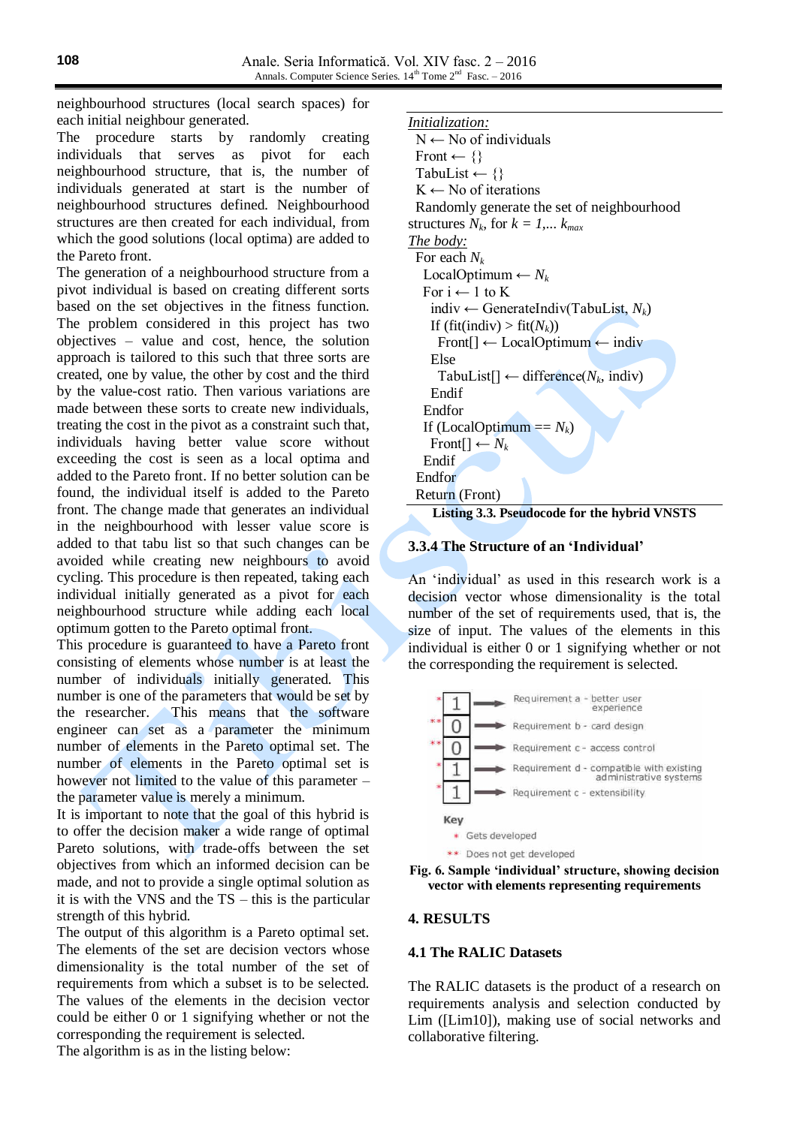neighbourhood structures (local search spaces) for each initial neighbour generated.

The procedure starts by randomly creating individuals that serves as pivot for each neighbourhood structure, that is, the number of individuals generated at start is the number of neighbourhood structures defined. Neighbourhood structures are then created for each individual, from which the good solutions (local optima) are added to the Pareto front.

The generation of a neighbourhood structure from a pivot individual is based on creating different sorts based on the set objectives in the fitness function. The problem considered in this project has two objectives – value and cost, hence, the solution approach is tailored to this such that three sorts are created, one by value, the other by cost and the third by the value-cost ratio. Then various variations are made between these sorts to create new individuals, treating the cost in the pivot as a constraint such that, individuals having better value score without exceeding the cost is seen as a local optima and added to the Pareto front. If no better solution can be found, the individual itself is added to the Pareto front. The change made that generates an individual in the neighbourhood with lesser value score is added to that tabu list so that such changes can be avoided while creating new neighbours to avoid cycling. This procedure is then repeated, taking each individual initially generated as a pivot for each neighbourhood structure while adding each local optimum gotten to the Pareto optimal front.

This procedure is guaranteed to have a Pareto front consisting of elements whose number is at least the number of individuals initially generated. This number is one of the parameters that would be set by the researcher. This means that the software engineer can set as a parameter the minimum number of elements in the Pareto optimal set. The number of elements in the Pareto optimal set is however not limited to the value of this parameter – the parameter value is merely a minimum.

It is important to note that the goal of this hybrid is to offer the decision maker a wide range of optimal Pareto solutions, with trade-offs between the set objectives from which an informed decision can be made, and not to provide a single optimal solution as it is with the VNS and the TS – this is the particular strength of this hybrid.

The output of this algorithm is a Pareto optimal set. The elements of the set are decision vectors whose dimensionality is the total number of the set of requirements from which a subset is to be selected. The values of the elements in the decision vector could be either 0 or 1 signifying whether or not the corresponding the requirement is selected. The algorithm is as in the listing below:

*Initialization:*

 $N \leftarrow$  No of individuals Front  $\leftarrow \{\}$ TabuList  $\leftarrow \{\}$  $K \leftarrow$  No of iterations Randomly generate the set of neighbourhood structures  $N_k$ , for  $k = 1,..., k_{max}$ *The body:* For each *N<sup>k</sup>* LocalOptimum ←  $N_k$ For  $i \leftarrow 1$  to K indiv ← GenerateIndiv(TabuList, *Nk*) If (fit(indiv) > fit( $N_k$ )) Front[] ← LocalOptimum ← indiv Else TabuList[] ← difference(*Nk*, indiv) Endif Endfor If (LocalOptimum  $== N_k$ )  $\text{Front}[\cdot] \leftarrow N_k$  Endif Endfor Return (Front) **Listing 3.3. Pseudocode for the hybrid VNSTS**

#### **3.3.4 The Structure of an 'Individual'**

An 'individual' as used in this research work is a decision vector whose dimensionality is the total number of the set of requirements used, that is, the size of input. The values of the elements in this individual is either 0 or 1 signifying whether or not the corresponding the requirement is selected.





#### **4. RESULTS**

#### **4.1 The RALIC Datasets**

The RALIC datasets is the product of a research on requirements analysis and selection conducted by Lim ([Lim10]), making use of social networks and collaborative filtering.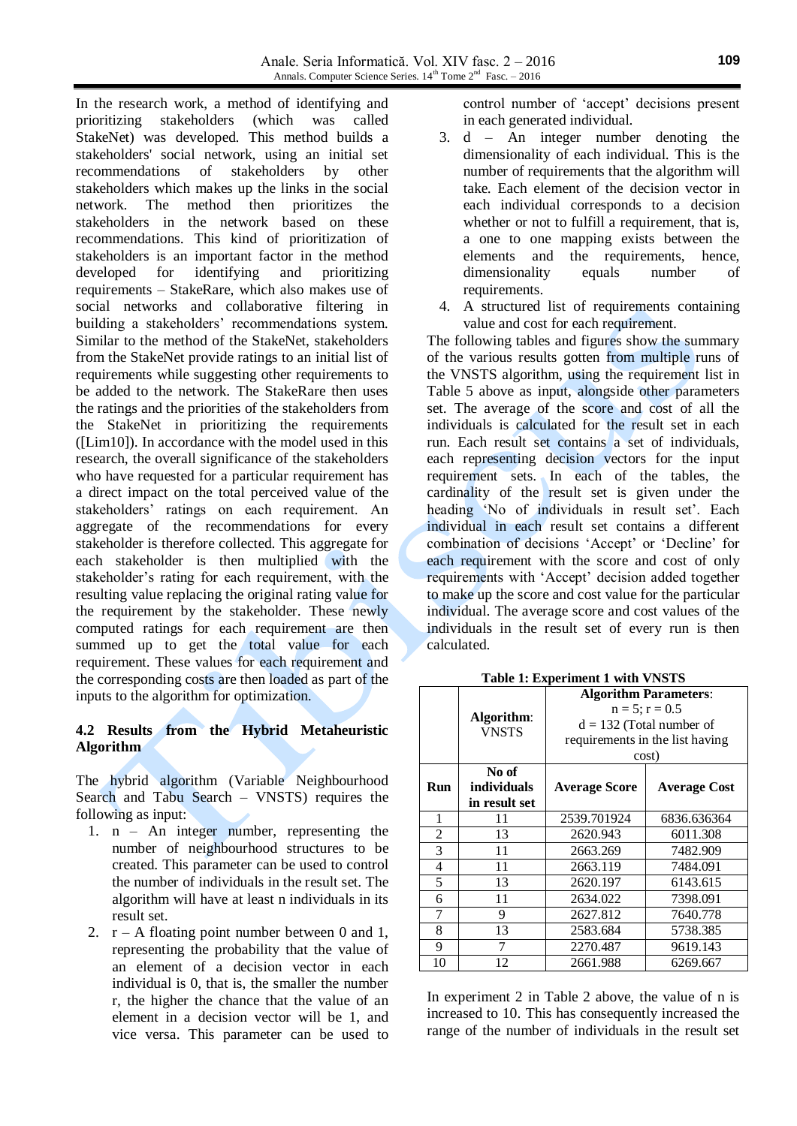In the research work, a method of identifying and prioritizing stakeholders (which was called StakeNet) was developed. This method builds a stakeholders' social network, using an initial set recommendations of stakeholders by other stakeholders which makes up the links in the social network. The method then prioritizes the stakeholders in the network based on these recommendations. This kind of prioritization of stakeholders is an important factor in the method developed for identifying and prioritizing requirements – StakeRare, which also makes use of social networks and collaborative filtering in building a stakeholders' recommendations system. Similar to the method of the StakeNet, stakeholders from the StakeNet provide ratings to an initial list of requirements while suggesting other requirements to be added to the network. The StakeRare then uses the ratings and the priorities of the stakeholders from the StakeNet in prioritizing the requirements  $($ [Lim10]). In accordance with the model used in this research, the overall significance of the stakeholders who have requested for a particular requirement has a direct impact on the total perceived value of the stakeholders' ratings on each requirement. An aggregate of the recommendations for every stakeholder is therefore collected. This aggregate for each stakeholder is then multiplied with the stakeholder's rating for each requirement, with the resulting value replacing the original rating value for the requirement by the stakeholder. These newly computed ratings for each requirement are then summed up to get the total value for each requirement. These values for each requirement and the corresponding costs are then loaded as part of the inputs to the algorithm for optimization.

# **4.2 Results from the Hybrid Metaheuristic Algorithm**

The hybrid algorithm (Variable Neighbourhood Search and Tabu Search – VNSTS) requires the following as input:

- 1. n An integer number, representing the number of neighbourhood structures to be created. This parameter can be used to control the number of individuals in the result set. The algorithm will have at least n individuals in its result set.
- 2.  $r A$  floating point number between 0 and 1, representing the probability that the value of an element of a decision vector in each individual is 0, that is, the smaller the number r, the higher the chance that the value of an element in a decision vector will be 1, and vice versa. This parameter can be used to

control number of 'accept' decisions present in each generated individual.

- 3. d An integer number denoting the dimensionality of each individual. This is the number of requirements that the algorithm will take. Each element of the decision vector in each individual corresponds to a decision whether or not to fulfill a requirement, that is, a one to one mapping exists between the elements and the requirements, hence, dimensionality equals number of requirements.
- 4. A structured list of requirements containing value and cost for each requirement.

The following tables and figures show the summary of the various results gotten from multiple runs of the VNSTS algorithm, using the requirement list in Table 5 above as input, alongside other parameters set. The average of the score and cost of all the individuals is calculated for the result set in each run. Each result set contains a set of individuals, each representing decision vectors for the input requirement sets. In each of the tables, the cardinality of the result set is given under the heading 'No of individuals in result set'. Each individual in each result set contains a different combination of decisions 'Accept' or 'Decline' for each requirement with the score and cost of only requirements with 'Accept' decision added together to make up the score and cost value for the particular individual. The average score and cost values of the individuals in the result set of every run is then calculated.

|     | Algorithm:<br><b>VNSTS</b>            | <b>Algorithm Parameters:</b><br>$n = 5$ ; $r = 0.5$<br>$d = 132$ (Total number of<br>requirements in the list having<br>cost) |                     |  |
|-----|---------------------------------------|-------------------------------------------------------------------------------------------------------------------------------|---------------------|--|
| Run | No of<br>individuals<br>in result set | <b>Average Score</b>                                                                                                          | <b>Average Cost</b> |  |
| 1   | 11                                    | 2539.701924                                                                                                                   | 6836.636364         |  |
| 2   | 13                                    | 2620.943                                                                                                                      | 6011.308            |  |
| 3   | 11                                    | 2663.269                                                                                                                      | 7482.909            |  |
| 4   | 11                                    | 2663.119                                                                                                                      | 7484.091            |  |
| 5   | 13                                    | 2620.197                                                                                                                      | 6143.615            |  |
| 6   | 11                                    | 2634.022                                                                                                                      | 7398.091            |  |
| 7   | 9                                     | 2627.812                                                                                                                      | 7640.778            |  |
| 8   | 13                                    | 2583.684                                                                                                                      | 5738.385            |  |
| 9   | 7                                     | 2270.487                                                                                                                      | 9619.143            |  |
| 10  | 12                                    | 2661.988                                                                                                                      | 6269.667            |  |

**Table 1: Experiment 1 with VNSTS**

In experiment 2 in Table 2 above, the value of n is increased to 10. This has consequently increased the range of the number of individuals in the result set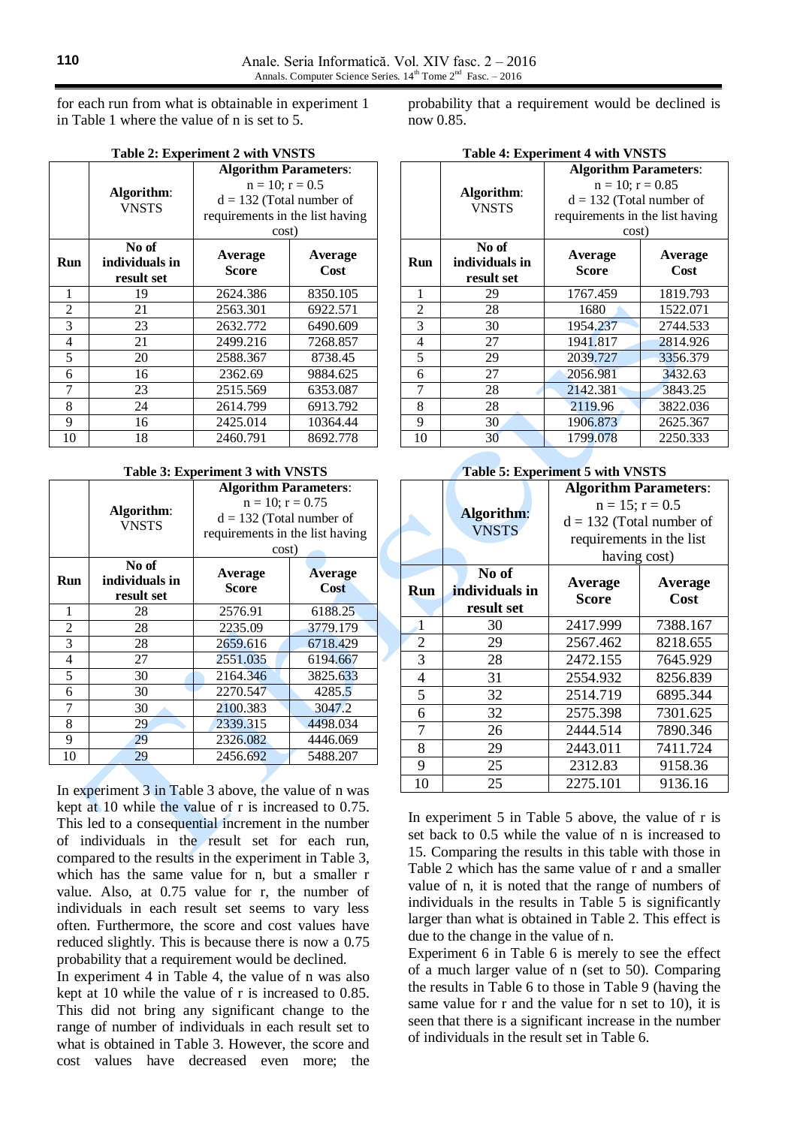for each run from what is obtainable in experiment 1 in Table 1 where the value of n is set to 5.

|  | Table 2: Experiment 2 with VNSTS |  |  |  |
|--|----------------------------------|--|--|--|
|--|----------------------------------|--|--|--|

|            | Algorithm:<br><b>VNSTS</b>            | <b>Algorithm Parameters:</b><br>$n = 10$ ; $r = 0.5$<br>$d = 132$ (Total number of<br>requirements in the list having<br>cost) |                 |  |  |  |
|------------|---------------------------------------|--------------------------------------------------------------------------------------------------------------------------------|-----------------|--|--|--|
| <b>Run</b> | No of<br>individuals in<br>result set | Average<br>Score                                                                                                               | Average<br>Cost |  |  |  |
| 1          | 19                                    | 2624.386                                                                                                                       | 8350.105        |  |  |  |
| 2          | 21                                    | 2563.301                                                                                                                       | 6922.571        |  |  |  |
| 3          | 23                                    | 2632.772                                                                                                                       | 6490.609        |  |  |  |
| 4          | 21                                    | 2499.216                                                                                                                       | 7268.857        |  |  |  |
| 5          | 20                                    | 2588.367                                                                                                                       | 8738.45         |  |  |  |
| 6          | 16                                    | 2362.69                                                                                                                        | 9884.625        |  |  |  |
| 7          | 23                                    | 2515.569                                                                                                                       | 6353.087        |  |  |  |
| 8          | 24                                    | 2614.799                                                                                                                       | 6913.792        |  |  |  |
| 9          | 16                                    | 2425.014                                                                                                                       | 10364.44        |  |  |  |
| 10         | 18                                    | 2460.791                                                                                                                       | 8692.778        |  |  |  |

#### **Table 3: Experiment 3 with VNSTS**

|                |                                       | <b>Algorithm Parameters:</b>    |                        |  |  |  |
|----------------|---------------------------------------|---------------------------------|------------------------|--|--|--|
|                | Algorithm:                            | $n = 10$ ; $r = 0.75$           |                        |  |  |  |
|                | <b>VNSTS</b>                          | $d = 132$ (Total number of      |                        |  |  |  |
|                |                                       | requirements in the list having |                        |  |  |  |
|                |                                       | cost)                           |                        |  |  |  |
| Run            | No of<br>individuals in<br>result set | Average<br><b>Score</b>         | <b>Average</b><br>Cost |  |  |  |
| 1              | 28                                    | 2576.91                         | 6188.25                |  |  |  |
| $\overline{2}$ | 28                                    | 2235.09                         | 3779.179               |  |  |  |
| 3              | 28                                    | 2659.616                        | 6718.429               |  |  |  |
| 4              | 27                                    | 2551.035                        | 6194.667               |  |  |  |
| 5              | 30                                    | 2164.346                        | 3825.633               |  |  |  |
| 6              | 30                                    | 2270.547                        | 4285.5                 |  |  |  |
| 7              | 30                                    | 2100.383                        | 3047.2                 |  |  |  |
| 8              | 29                                    | 2339.315                        | 4498.034               |  |  |  |
| 9              | 29                                    | 2326.082                        | 4446.069               |  |  |  |
| 10             | 29                                    | 2456.692                        | 5488.207               |  |  |  |

In experiment 3 in Table 3 above, the value of n was kept at 10 while the value of r is increased to 0.75. This led to a consequential increment in the number of individuals in the result set for each run, compared to the results in the experiment in Table 3, which has the same value for n, but a smaller r value. Also, at 0.75 value for r, the number of individuals in each result set seems to vary less often. Furthermore, the score and cost values have reduced slightly. This is because there is now a 0.75 probability that a requirement would be declined.

In experiment 4 in Table 4, the value of n was also kept at 10 while the value of r is increased to 0.85. This did not bring any significant change to the range of number of individuals in each result set to what is obtained in Table 3. However, the score and cost values have decreased even more; the probability that a requirement would be declined is now 0.85.

**Table 4: Experiment 4 with VNSTS**

| $1400 \div 1240 \times 1010 \times 1010$ |                |                                 |          |  |  |
|------------------------------------------|----------------|---------------------------------|----------|--|--|
|                                          |                | <b>Algorithm Parameters:</b>    |          |  |  |
|                                          | Algorithm:     | $n = 10$ ; $r = 0.85$           |          |  |  |
|                                          | <b>VNSTS</b>   | $d = 132$ (Total number of      |          |  |  |
|                                          |                | requirements in the list having |          |  |  |
|                                          |                | cost)                           |          |  |  |
|                                          | No of          | Average                         | Average  |  |  |
| Run                                      | individuals in | <b>Score</b>                    | Cost     |  |  |
|                                          | result set     |                                 |          |  |  |
| 1                                        | 29             | 1767.459                        | 1819.793 |  |  |
| $\overline{c}$                           | 28             | 1680                            | 1522.071 |  |  |
| 3                                        | 30             | 1954.237                        | 2744.533 |  |  |
| 4                                        | 27             | 1941.817                        | 2814.926 |  |  |
| 5                                        | 29             | 2039.727                        | 3356.379 |  |  |
| 6                                        | 27             | 2056.981                        | 3432.63  |  |  |
| 7                                        | 28             | 2142.381                        | 3843.25  |  |  |
| 8                                        | 28             | 2119.96                         | 3822.036 |  |  |
| 9                                        | 30             | 1906.873                        | 2625.367 |  |  |
| 10                                       | 30             | 1799.078                        | 2250.333 |  |  |

#### **Table 5: Experiment 5 with VNSTS**

|                |                         | <b>Algorithm Parameters:</b> |          |  |  |  |
|----------------|-------------------------|------------------------------|----------|--|--|--|
|                | Algorithm:              | $n = 15$ ; $r = 0.5$         |          |  |  |  |
|                | <b>VNSTS</b>            | $d = 132$ (Total number of   |          |  |  |  |
|                |                         | requirements in the list     |          |  |  |  |
|                |                         | having cost)                 |          |  |  |  |
| Run            | No of<br>individuals in | Average                      | Average  |  |  |  |
|                | result set              | Score                        | Cost     |  |  |  |
| 1              | 30                      | 2417.999                     | 7388.167 |  |  |  |
| $\overline{2}$ | 29                      | 2567.462                     | 8218.655 |  |  |  |
| 3              | 28                      | 2472.155                     | 7645.929 |  |  |  |
| $\overline{4}$ | 31                      | 2554.932                     | 8256.839 |  |  |  |
| 5              | 32                      | 2514.719                     | 6895.344 |  |  |  |
| 6              | 32                      | 2575.398                     | 7301.625 |  |  |  |
| 7              | 26                      | 2444.514                     | 7890.346 |  |  |  |
| 8              | 29                      | 2443.011                     | 7411.724 |  |  |  |
| 9              | 25                      | 2312.83                      | 9158.36  |  |  |  |
| 10             | 25                      | 2275.101                     | 9136.16  |  |  |  |

In experiment 5 in Table 5 above, the value of r is set back to 0.5 while the value of n is increased to 15. Comparing the results in this table with those in Table 2 which has the same value of r and a smaller value of n, it is noted that the range of numbers of individuals in the results in Table 5 is significantly larger than what is obtained in Table 2. This effect is due to the change in the value of n.

Experiment 6 in Table 6 is merely to see the effect of a much larger value of n (set to 50). Comparing the results in Table 6 to those in Table 9 (having the same value for r and the value for n set to 10), it is seen that there is a significant increase in the number of individuals in the result set in Table 6.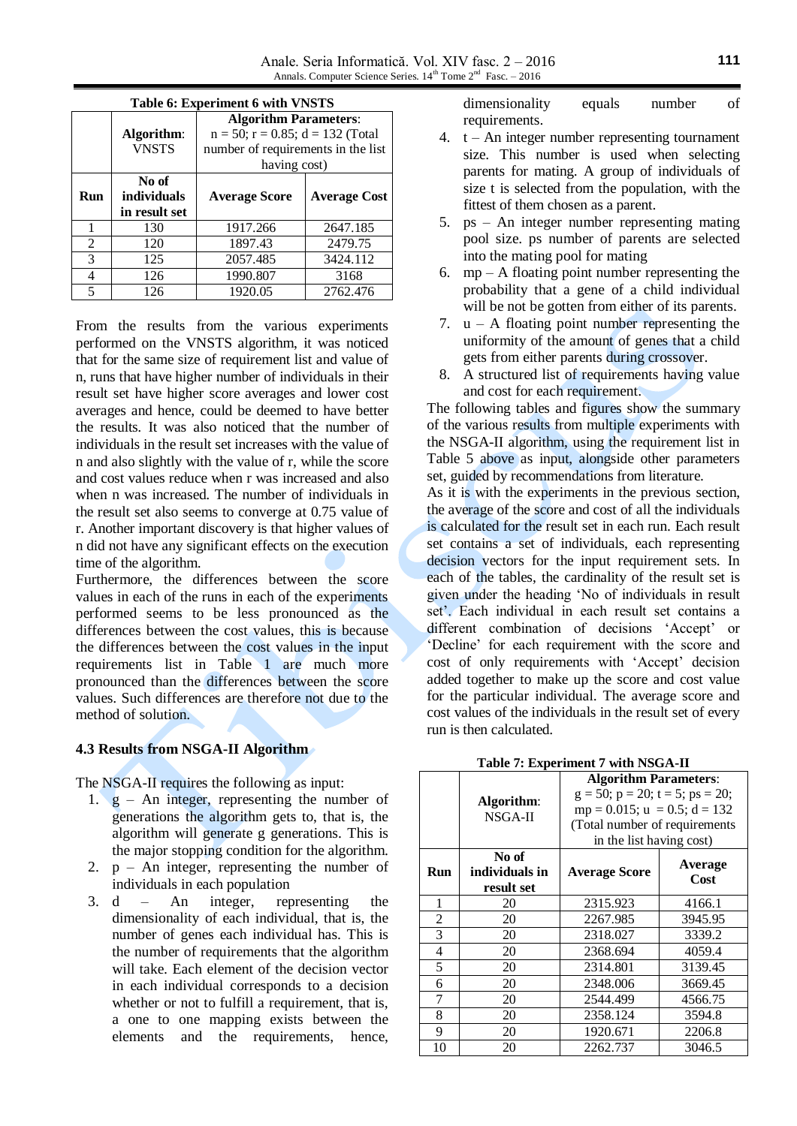Anale. Seria Informatică. Vol. XIV fasc. 2 – 2016 Annals. Computer Science Series.  $14<sup>th</sup>$  Tome  $2<sup>nd</sup>$  Fasc.  $-2016$ 

|                | Table 6: Experiment 6 with VNSTS |                                          |                     |  |  |  |
|----------------|----------------------------------|------------------------------------------|---------------------|--|--|--|
|                |                                  | <b>Algorithm Parameters:</b>             |                     |  |  |  |
|                | Algorithm:                       | $n = 50$ ; $r = 0.85$ ; $d = 132$ (Total |                     |  |  |  |
|                | <b>VNSTS</b>                     | number of requirements in the list       |                     |  |  |  |
|                |                                  | having cost)                             |                     |  |  |  |
|                | No of                            |                                          |                     |  |  |  |
| Run            | <i>individuals</i>               | <b>Average Score</b>                     | <b>Average Cost</b> |  |  |  |
|                | in result set                    |                                          |                     |  |  |  |
|                | 130                              | 1917.266                                 | 2647.185            |  |  |  |
| $\mathfrak{D}$ | 120                              | 1897.43                                  | 2479.75             |  |  |  |
| 3              | 125                              | 2057.485                                 | 3424.112            |  |  |  |
| 4              | 126                              | 1990.807                                 | 3168                |  |  |  |
| 5              |                                  | 1920.05                                  | 2762.476            |  |  |  |

From the results from the various experiments performed on the VNSTS algorithm, it was noticed that for the same size of requirement list and value of n, runs that have higher number of individuals in their result set have higher score averages and lower cost averages and hence, could be deemed to have better the results. It was also noticed that the number of individuals in the result set increases with the value of n and also slightly with the value of r, while the score and cost values reduce when r was increased and also when n was increased. The number of individuals in the result set also seems to converge at 0.75 value of r. Another important discovery is that higher values of n did not have any significant effects on the execution time of the algorithm.

Furthermore, the differences between the score values in each of the runs in each of the experiments performed seems to be less pronounced as the differences between the cost values, this is because the differences between the cost values in the input requirements list in Table 1 are much more pronounced than the differences between the score values. Such differences are therefore not due to the method of solution.

### **4.3 Results from NSGA-II Algorithm**

The NSGA-II requires the following as input:

- 1.  $g$  An integer, representing the number of generations the algorithm gets to, that is, the algorithm will generate g generations. This is the major stopping condition for the algorithm.
- 2.  $p An integer$ , representing the number of individuals in each population
- 3. d An integer, representing the dimensionality of each individual, that is, the number of genes each individual has. This is the number of requirements that the algorithm will take. Each element of the decision vector in each individual corresponds to a decision whether or not to fulfill a requirement, that is, a one to one mapping exists between the elements and the requirements, hence,

dimensionality equals number of requirements.

- 4.  $t An integer number representing tournament$ size. This number is used when selecting parents for mating. A group of individuals of size t is selected from the population, with the fittest of them chosen as a parent.
- 5. ps An integer number representing mating pool size. ps number of parents are selected into the mating pool for mating
- 6.  $mp A$  floating point number representing the probability that a gene of a child individual will be not be gotten from either of its parents.
- 7.  $u A$  floating point number representing the uniformity of the amount of genes that a child gets from either parents during crossover.
- 8. A structured list of requirements having value and cost for each requirement.

The following tables and figures show the summary of the various results from multiple experiments with the NSGA-II algorithm, using the requirement list in Table 5 above as input, alongside other parameters set, guided by recommendations from literature.

As it is with the experiments in the previous section, the average of the score and cost of all the individuals is calculated for the result set in each run. Each result set contains a set of individuals, each representing decision vectors for the input requirement sets. In each of the tables, the cardinality of the result set is given under the heading 'No of individuals in result set'. Each individual in each result set contains a different combination of decisions 'Accept' or 'Decline' for each requirement with the score and cost of only requirements with 'Accept' decision added together to make up the score and cost value for the particular individual. The average score and cost values of the individuals in the result set of every run is then calculated.

**Table 7: Experiment 7 with NSGA-II**

|     |                | <b>Algorithm Parameters:</b>                |         |  |  |
|-----|----------------|---------------------------------------------|---------|--|--|
|     | Algorithm:     | $g = 50$ ; $p = 20$ ; $t = 5$ ; $ps = 20$ ; |         |  |  |
|     | NSGA-II        | $mp = 0.015$ ; $u = 0.5$ ; $d = 132$        |         |  |  |
|     |                | (Total number of requirements               |         |  |  |
|     |                | in the list having cost)                    |         |  |  |
|     | No of          |                                             | Average |  |  |
| Run | individuals in | <b>Average Score</b>                        | Cost    |  |  |
|     | result set     |                                             |         |  |  |
| 1   | 20             | 2315.923                                    | 4166.1  |  |  |
| 2   | 20             | 2267.985                                    | 3945.95 |  |  |
| 3   | 20             | 2318.027                                    | 3339.2  |  |  |
| 4   | 20             | 2368.694                                    | 4059.4  |  |  |
| 5   | 20             | 2314.801                                    | 3139.45 |  |  |
| 6   | 20             | 2348.006                                    | 3669.45 |  |  |
| 7   | 20             | 2544.499                                    | 4566.75 |  |  |
| 8   | 20             | 2358.124                                    | 3594.8  |  |  |
| 9   | 20             | 1920.671                                    | 2206.8  |  |  |
| 10  | 20             | 2262.737                                    | 3046.5  |  |  |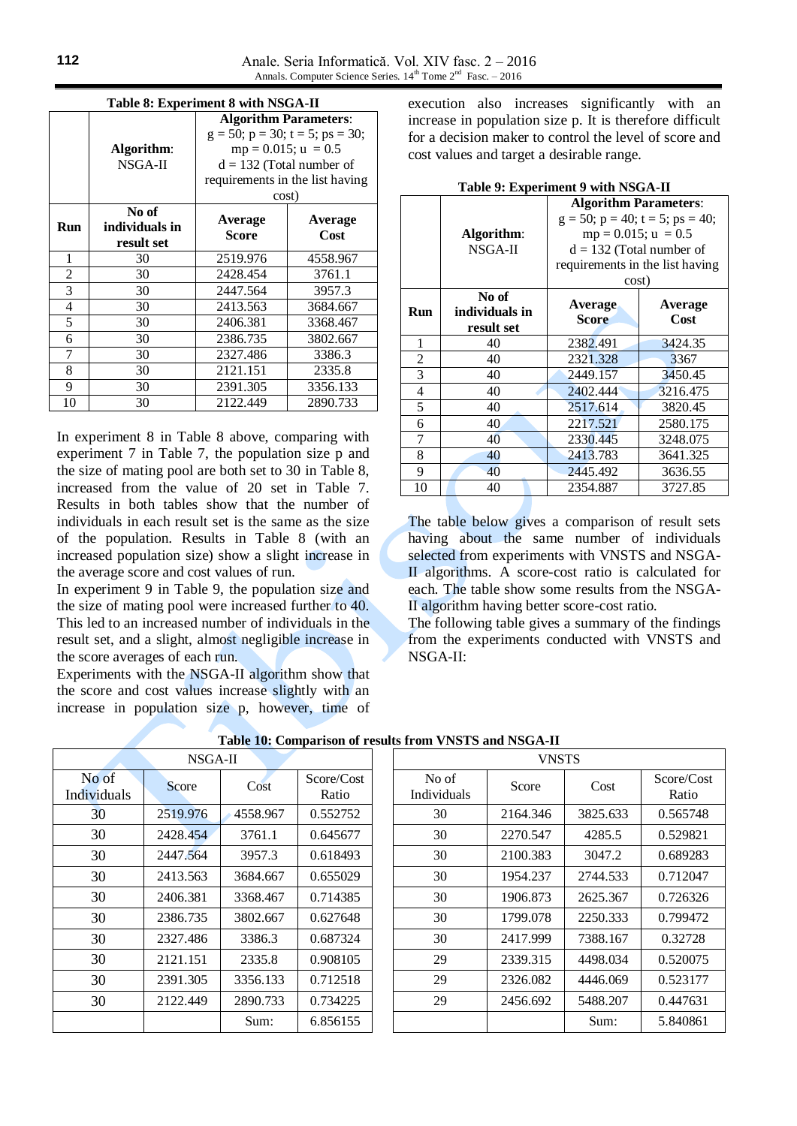|                | Table 8: Experiment 8 with NSGA-II |                                             |          |  |  |  |
|----------------|------------------------------------|---------------------------------------------|----------|--|--|--|
|                |                                    | <b>Algorithm Parameters:</b>                |          |  |  |  |
|                |                                    | $g = 50$ ; $p = 30$ ; $t = 5$ ; $ps = 30$ ; |          |  |  |  |
|                | Algorithm:                         | $mp = 0.015$ ; $u = 0.5$                    |          |  |  |  |
|                | NSGA-II                            | $d = 132$ (Total number of                  |          |  |  |  |
|                |                                    | requirements in the list having             |          |  |  |  |
|                |                                    | cost)                                       |          |  |  |  |
|                | No of                              |                                             | Average  |  |  |  |
| Run            | individuals in                     | Average<br><b>Score</b>                     | Cost     |  |  |  |
|                | result set                         |                                             |          |  |  |  |
| 1              | 30                                 | 2519.976                                    | 4558.967 |  |  |  |
| $\overline{c}$ | 30                                 | 2428.454                                    | 3761.1   |  |  |  |
| 3              | 30                                 | 2447.564                                    | 3957.3   |  |  |  |
| $\overline{4}$ | 30                                 | 2413.563                                    | 3684.667 |  |  |  |
| 5              | 30                                 | 2406.381                                    | 3368.467 |  |  |  |
| 6              | 30                                 | 2386.735                                    | 3802.667 |  |  |  |
| 7              | 30                                 | 2327.486                                    | 3386.3   |  |  |  |
| 8              | 30                                 | 2121.151                                    | 2335.8   |  |  |  |
| 9              | 30                                 | 2391.305                                    | 3356.133 |  |  |  |
| 10             | 30                                 | 2122.449                                    | 2890.733 |  |  |  |

In experiment 8 in Table 8 above, comparing with experiment 7 in Table 7, the population size p and the size of mating pool are both set to 30 in Table 8, increased from the value of 20 set in Table 7. Results in both tables show that the number of individuals in each result set is the same as the size of the population. Results in Table 8 (with an increased population size) show a slight increase in the average score and cost values of run.

In experiment 9 in Table 9, the population size and the size of mating pool were increased further to 40. This led to an increased number of individuals in the result set, and a slight, almost negligible increase in the score averages of each run.

Experiments with the NSGA-II algorithm show that the score and cost values increase slightly with an increase in population size p, however, time of execution also increases significantly with an increase in population size p. It is therefore difficult for a decision maker to control the level of score and cost values and target a desirable range.

|                |                | <b>Algorithm Parameters:</b>                |          |  |  |  |
|----------------|----------------|---------------------------------------------|----------|--|--|--|
|                |                | $g = 50$ ; $p = 40$ ; $t = 5$ ; $ps = 40$ ; |          |  |  |  |
|                | Algorithm:     | $mp = 0.015; u = 0.5$                       |          |  |  |  |
|                | NSGA-II        | $d = 132$ (Total number of                  |          |  |  |  |
|                |                | requirements in the list having             |          |  |  |  |
|                |                | cost)                                       |          |  |  |  |
|                | No of          | Average                                     | Average  |  |  |  |
| <b>Run</b>     | individuals in | Score                                       | Cost     |  |  |  |
|                | result set     |                                             |          |  |  |  |
| 1              | 40             | 2382.491                                    | 3424.35  |  |  |  |
| $\overline{2}$ | 40             | 2321.328                                    | 3367     |  |  |  |
| 3              | 40             | 2449.157                                    | 3450.45  |  |  |  |
| 4              | 40             | 2402.444                                    | 3216.475 |  |  |  |
| 5              | 40             | 2517.614                                    | 3820.45  |  |  |  |
| 6              | 40             | 2217.521                                    | 2580.175 |  |  |  |
| 7              | 40             | 2330.445                                    | 3248.075 |  |  |  |
| 8              | 40             | 2413.783                                    | 3641.325 |  |  |  |
| 9              | 40             | 2445.492                                    | 3636.55  |  |  |  |
| 10             | 40             | 2354.887                                    | 3727.85  |  |  |  |

**Table 9: Experiment 9 with NSGA-II**

The table below gives a comparison of result sets having about the same number of individuals selected from experiments with VNSTS and NSGA-II algorithms. A score-cost ratio is calculated for each. The table show some results from the NSGA-II algorithm having better score-cost ratio.

The following table gives a summary of the findings from the experiments conducted with VNSTS and NSGA-II:

|                      | NSGA-II  |          |                     | <b>VNSTS</b>         |          |          |                     |
|----------------------|----------|----------|---------------------|----------------------|----------|----------|---------------------|
| No of<br>Individuals | Score    | Cost     | Score/Cost<br>Ratio | No of<br>Individuals | Score    | Cost     | Score/Cost<br>Ratio |
| 30                   | 2519.976 | 4558.967 | 0.552752            | 30                   | 2164.346 | 3825.633 | 0.565748            |
| 30                   | 2428.454 | 3761.1   | 0.645677            | 30                   | 2270.547 | 4285.5   | 0.529821            |
| 30                   | 2447.564 | 3957.3   | 0.618493            | 30                   | 2100.383 | 3047.2   | 0.689283            |
| 30                   | 2413.563 | 3684.667 | 0.655029            | 30                   | 1954.237 | 2744.533 | 0.712047            |
| 30                   | 2406.381 | 3368.467 | 0.714385            | 30                   | 1906.873 | 2625.367 | 0.726326            |
| 30                   | 2386.735 | 3802.667 | 0.627648            | 30                   | 1799.078 | 2250.333 | 0.799472            |
| 30                   | 2327.486 | 3386.3   | 0.687324            | 30                   | 2417.999 | 7388.167 | 0.32728             |
| 30                   | 2121.151 | 2335.8   | 0.908105            | 29                   | 2339.315 | 4498.034 | 0.520075            |
| 30                   | 2391.305 | 3356.133 | 0.712518            | 29                   | 2326.082 | 4446.069 | 0.523177            |
| 30                   | 2122.449 | 2890.733 | 0.734225            | 29                   | 2456.692 | 5488.207 | 0.447631            |
|                      |          | Sum:     | 6.856155            |                      |          | Sum:     | 5.840861            |

#### **Table 10: Comparison of results from VNSTS and NSGA-II**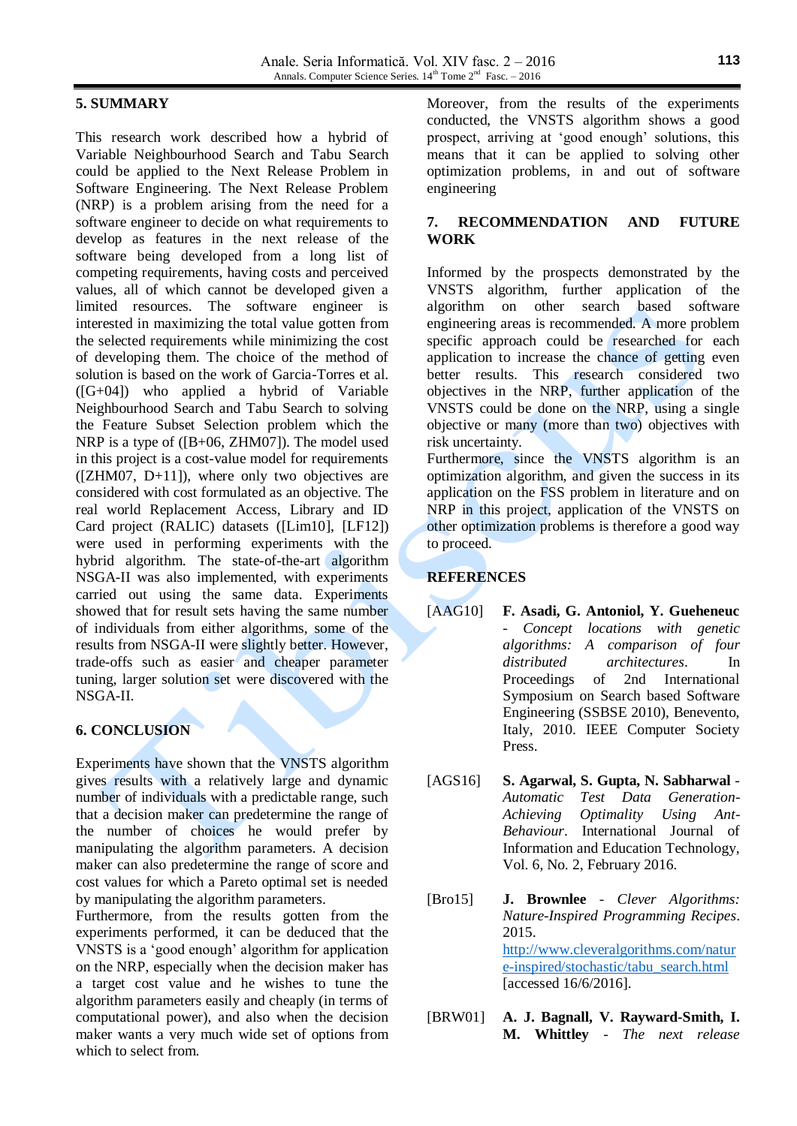# **5. SUMMARY**

This research work described how a hybrid of Variable Neighbourhood Search and Tabu Search could be applied to the Next Release Problem in Software Engineering. The Next Release Problem (NRP) is a problem arising from the need for a software engineer to decide on what requirements to develop as features in the next release of the software being developed from a long list of competing requirements, having costs and perceived values, all of which cannot be developed given a limited resources. The software engineer is interested in maximizing the total value gotten from the selected requirements while minimizing the cost of developing them. The choice of the method of solution is based on the work of Garcia-Torres et al. ([G+04]) who applied a hybrid of Variable Neighbourhood Search and Tabu Search to solving the Feature Subset Selection problem which the NRP is a type of ([B+06, ZHM07]). The model used in this project is a cost-value model for requirements  $([ZHM07, D+11])$ , where only two objectives are considered with cost formulated as an objective. The real world Replacement Access, Library and ID Card project (RALIC) datasets ([Lim10], [LF12]) were used in performing experiments with the hybrid algorithm. The state-of-the-art algorithm NSGA-II was also implemented, with experiments carried out using the same data. Experiments showed that for result sets having the same number of individuals from either algorithms, some of the results from NSGA-II were slightly better. However, trade-offs such as easier and cheaper parameter tuning, larger solution set were discovered with the NSGA-II.

# **6. CONCLUSION**

Experiments have shown that the VNSTS algorithm gives results with a relatively large and dynamic number of individuals with a predictable range, such that a decision maker can predetermine the range of the number of choices he would prefer by manipulating the algorithm parameters. A decision maker can also predetermine the range of score and cost values for which a Pareto optimal set is needed by manipulating the algorithm parameters.

Furthermore, from the results gotten from the experiments performed, it can be deduced that the VNSTS is a 'good enough' algorithm for application on the NRP, especially when the decision maker has a target cost value and he wishes to tune the algorithm parameters easily and cheaply (in terms of computational power), and also when the decision maker wants a very much wide set of options from which to select from.

Moreover, from the results of the experiments conducted, the VNSTS algorithm shows a good prospect, arriving at 'good enough' solutions, this means that it can be applied to solving other optimization problems, in and out of software engineering

### **7. RECOMMENDATION AND FUTURE WORK**

Informed by the prospects demonstrated by the VNSTS algorithm, further application of the algorithm on other search based software engineering areas is recommended. A more problem specific approach could be researched for each application to increase the chance of getting even better results. This research considered two objectives in the NRP, further application of the VNSTS could be done on the NRP, using a single objective or many (more than two) objectives with risk uncertainty. Furthermore, since the VNSTS algorithm is an optimization algorithm, and given the success in its application on the FSS problem in literature and on NRP in this project, application of the VNSTS on other optimization problems is therefore a good way

# **REFERENCES**

to proceed.

- [AAG10] **F. Asadi, G. Antoniol, Y. Gueheneuc** - *Concept locations with genetic algorithms: A comparison of four distributed architectures*. In Proceedings of 2nd International Symposium on Search based Software Engineering (SSBSE 2010), Benevento, Italy, 2010. IEEE Computer Society Press.
- [AGS16] **S. Agarwal, S. Gupta, N. Sabharwal** *Automatic Test Data Generation-Achieving Optimality Using Ant-Behaviour*. International Journal of Information and Education Technology, Vol. 6, No. 2, February 2016.
- [Bro15] **J. Brownlee** *Clever Algorithms: Nature-Inspired Programming Recipes*. 2015. [http://www.cleveralgorithms.com/natur](http://www.cleveralgorithms.com/nature-inspired/stochastic/tabu_search.html) [e-inspired/stochastic/tabu\\_search.html](http://www.cleveralgorithms.com/nature-inspired/stochastic/tabu_search.html) [accessed 16/6/2016].
- [BRW01] **A. J. Bagnall, V. Rayward-Smith, I. M. Whittley** - *The next release*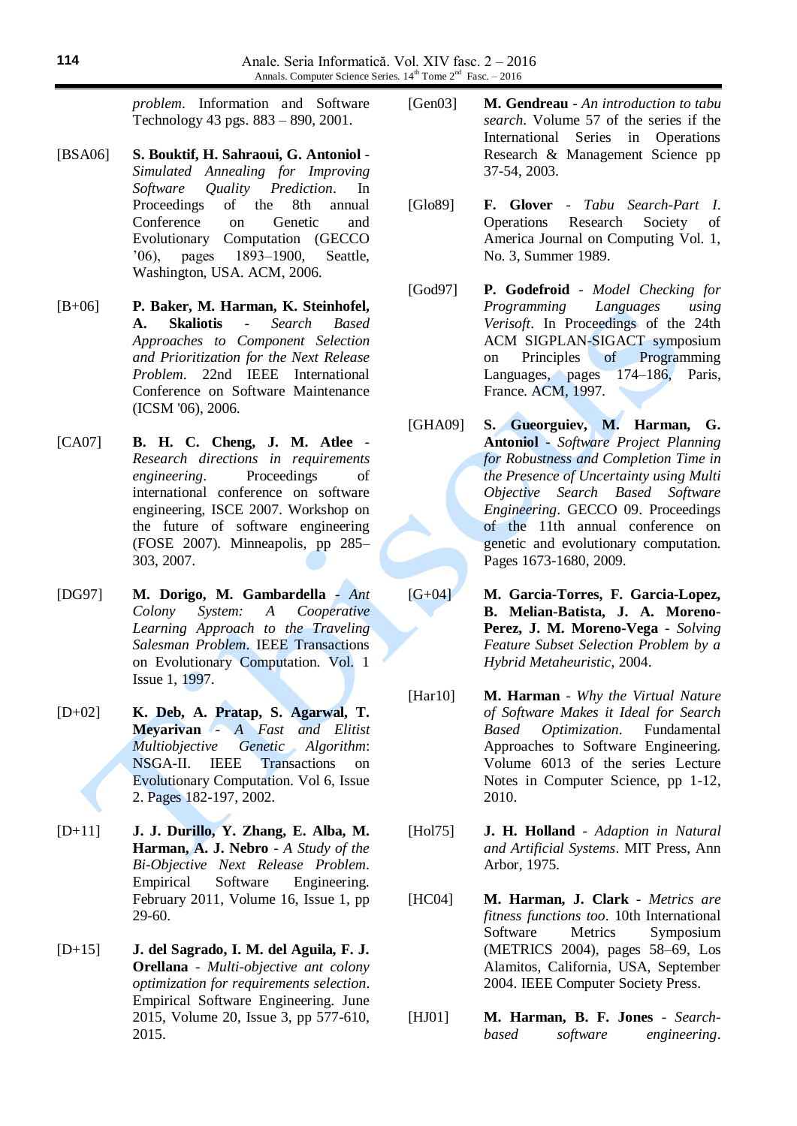*problem*. Information and Software Technology 43 pgs. 883 – 890, 2001.

- [BSA06] **S. Bouktif, H. Sahraoui, G. Antoniol** *Simulated Annealing for Improving Software Quality Prediction*. In Proceedings of the 8th annual Conference on Genetic and Evolutionary Computation (GECCO '06), pages 1893–1900, Seattle, Washington, USA. ACM, 2006.
- [B+06] **P. Baker, M. Harman, K. Steinhofel, A. Skaliotis** - *Search Based Approaches to Component Selection and Prioritization for the Next Release Problem*. 22nd IEEE International Conference on Software Maintenance (ICSM '06), 2006.
- [CA07] **B. H. C. Cheng, J. M. Atlee** *Research directions in requirements engineering*. Proceedings of international conference on software engineering, ISCE 2007. Workshop on the future of software engineering (FOSE 2007). Minneapolis, pp 285– 303, 2007.
- [DG97] **M. Dorigo, M. Gambardella** *Ant Colony System: A Cooperative Learning Approach to the Traveling Salesman Problem*. IEEE Transactions on Evolutionary Computation. Vol. 1 Issue 1, 1997.
- [D+02] **K. Deb, A. Pratap, S. Agarwal, T. Meyarivan** - *A Fast and Elitist Multiobjective Genetic Algorithm*: NSGA-II. IEEE Transactions on Evolutionary Computation. Vol 6, Issue 2. Pages 182-197, 2002.
- [D+11] **J. J. Durillo, Y. Zhang, E. Alba, M. Harman, A. J. Nebro** - *A Study of the Bi-Objective Next Release Problem*. Empirical Software Engineering. February 2011, Volume 16, Issue 1, pp 29-60.
- [D+15] **J. del Sagrado, I. M. del Aguila, F. J. Orellana** - *Multi-objective ant colony optimization for requirements selection*. Empirical Software Engineering. June 2015, Volume 20, Issue 3, pp 577-610, 2015.
- [Gen03] **M. Gendreau** *An introduction to tabu search*. Volume 57 of the series if the International Series in Operations Research & Management Science pp 37-54, 2003.
- [Glo89] **F. Glover** *Tabu Search-Part I*. Operations Research Society of America Journal on Computing Vol. 1, No. 3, Summer 1989.
- [God97] **P. Godefroid** *Model Checking for Programming Languages using Verisoft*. In Proceedings of the 24th ACM SIGPLAN-SIGACT symposium on Principles of Programming Languages, pages 174–186, Paris, France. ACM, 1997.
- [GHA09] **S. Gueorguiev, M. Harman, G. Antoniol** - *Software Project Planning for Robustness and Completion Time in the Presence of Uncertainty using Multi Objective Search Based Software Engineering*. GECCO 09. Proceedings of the 11th annual conference on genetic and evolutionary computation. Pages 1673-1680, 2009.
- [G+04] **M. Garcia-Torres, F. Garcia-Lopez, B. Melian-Batista, J. A. Moreno-Perez, J. M. Moreno-Vega** - *Solving Feature Subset Selection Problem by a Hybrid Metaheuristic*, 2004.
- [Har10] **M. Harman** *Why the Virtual Nature of Software Makes it Ideal for Search Based Optimization*. Fundamental Approaches to Software Engineering. Volume 6013 of the series Lecture Notes in Computer Science, pp 1-12, 2010.
- [Hol75] **J. H. Holland** *Adaption in Natural and Artificial Systems*. MIT Press, Ann Arbor, 1975.
- [HC04] **M. Harman, J. Clark** *Metrics are fitness functions too*. 10th International Software Metrics Symposium (METRICS 2004), pages 58–69, Los Alamitos, California, USA, September 2004. IEEE Computer Society Press.
- [HJ01] **M. Harman, B. F. Jones** *Searchbased software engineering*.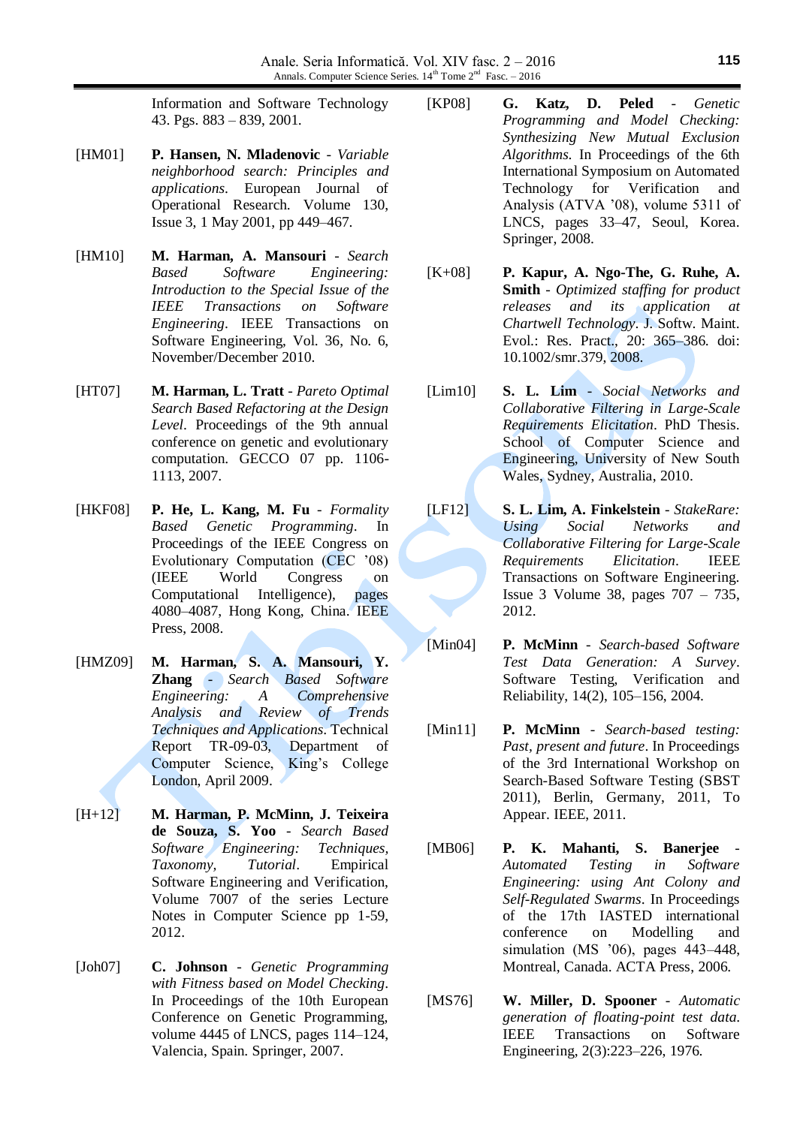Information and Software Technology 43. Pgs. 883 – 839, 2001.

- [HM01] **P. Hansen, N. Mladenovic** *Variable neighborhood search: Principles and applications*. European Journal of Operational Research. Volume 130, Issue 3, 1 May 2001, pp 449–467.
- [HM10] **M. Harman, A. Mansouri** *Search Based Software Engineering: Introduction to the Special Issue of the IEEE Transactions on Software Engineering*. IEEE Transactions on Software Engineering, Vol. 36, No. 6, November/December 2010.
- [HT07] **M. Harman, L. Tratt** *Pareto Optimal Search Based Refactoring at the Design Level*. Proceedings of the 9th annual conference on genetic and evolutionary computation. GECCO 07 pp. 1106- 1113, 2007.
- [HKF08] **P. He, L. Kang, M. Fu** *Formality Based Genetic Programming*. In Proceedings of the IEEE Congress on Evolutionary Computation (CEC '08) (IEEE World Congress on Computational Intelligence), pages 4080–4087, Hong Kong, China. IEEE Press, 2008.
- [HMZ09] **M. Harman, S. A. Mansouri, Y. Zhang** - *Search Based Software Engineering: A Comprehensive Analysis and Review of Trends Techniques and Applications*. Technical Report TR-09-03, Department of Computer Science, King's College London, April 2009.
- [H+12] **M. Harman, P. McMinn, J. Teixeira de Souza, S. Yoo** - *Search Based Software Engineering: Techniques, Taxonomy, Tutorial*. Empirical Software Engineering and Verification, Volume 7007 of the series Lecture Notes in Computer Science pp 1-59, 2012.
- [Joh07] **C. Johnson** *Genetic Programming with Fitness based on Model Checking*. In Proceedings of the 10th European Conference on Genetic Programming, volume 4445 of LNCS, pages 114–124, Valencia, Spain. Springer, 2007.
- [KP08] **G. Katz, D. Peled** *Genetic Programming and Model Checking: Synthesizing New Mutual Exclusion Algorithms*. In Proceedings of the 6th International Symposium on Automated Technology for Verification and Analysis (ATVA '08), volume 5311 of LNCS, pages 33–47, Seoul, Korea. Springer, 2008.
- [K+08] **P. Kapur, A. Ngo-The, G. Ruhe, A. Smith** - *Optimized staffing for product releases and its application at Chartwell Technology*. J. Softw. Maint. Evol.: Res. Pract., 20: 365–386. doi: 10.1002/smr.379, 2008.
- [Lim10] **S. L. Lim** *Social Networks and Collaborative Filtering in Large-Scale Requirements Elicitation*. PhD Thesis. School of Computer Science and Engineering, University of New South Wales, Sydney, Australia, 2010.
- [LF12] **S. L. Lim, A. Finkelstein** *StakeRare: Using Social Networks and Collaborative Filtering for Large-Scale Requirements Elicitation*. IEEE Transactions on Software Engineering. Issue 3 Volume 38, pages 707 – 735, 2012.
- [Min04] **P. McMinn** *Search-based Software Test Data Generation: A Survey*. Software Testing, Verification and Reliability, 14(2), 105–156, 2004.
- [Min11] **P. McMinn** *Search-based testing: Past, present and future*. In Proceedings of the 3rd International Workshop on Search-Based Software Testing (SBST 2011), Berlin, Germany, 2011, To Appear. IEEE, 2011.
- [MB06] **P. K. Mahanti, S. Banerjee** *Automated Testing in Software Engineering: using Ant Colony and Self-Regulated Swarms*. In Proceedings of the 17th IASTED international conference on Modelling and simulation (MS '06), pages 443–448, Montreal, Canada. ACTA Press, 2006.
- [MS76] **W. Miller, D. Spooner** *Automatic generation of floating-point test data*. IEEE Transactions on Software Engineering, 2(3):223–226, 1976.